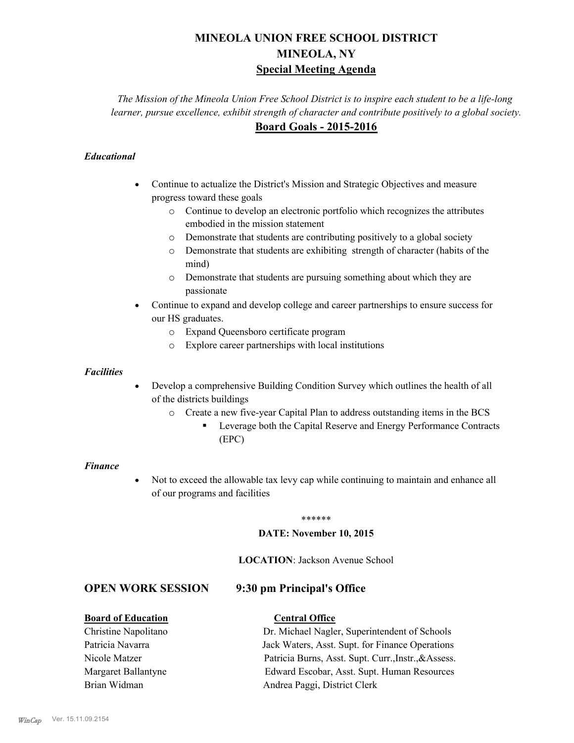# **MINEOLA UNION FREE SCHOOL DISTRICT MINEOLA, NY Special Meeting Agenda**

*The Mission of the Mineola Union Free School District is to inspire each student to be a life-long learner, pursue excellence, exhibit strength of character and contribute positively to a global society.* **Board Goals - 2015-2016**

# *Educational*

- · Continue to actualize the District's Mission and Strategic Objectives and measure progress toward these goals
	- o Continue to develop an electronic portfolio which recognizes the attributes embodied in the mission statement
	- o Demonstrate that students are contributing positively to a global society
	- o Demonstrate that students are exhibiting strength of character (habits of the mind)
	- o Demonstrate that students are pursuing something about which they are passionate
- Continue to expand and develop college and career partnerships to ensure success for our HS graduates.
	- o Expand Queensboro certificate program
	- o Explore career partnerships with local institutions

### *Facilities*

- Develop a comprehensive Building Condition Survey which outlines the health of all of the districts buildings
	- o Create a new five-year Capital Plan to address outstanding items in the BCS
		- § Leverage both the Capital Reserve and Energy Performance Contracts (EPC)

### *Finance*

• Not to exceed the allowable tax levy cap while continuing to maintain and enhance all of our programs and facilities

### \*\*\*\*\*\*

### **DATE: November 10, 2015**

**LOCATION**: Jackson Avenue School

# **OPEN WORK SESSION 9:30 pm Principal's Office**

| <b>Board of Education</b> | <b>Central Office</b>                                |
|---------------------------|------------------------------------------------------|
| Christine Napolitano      | Dr. Michael Nagler, Superintendent of Schools        |
| Patricia Navarra          | Jack Waters, Asst. Supt. for Finance Operations      |
| Nicole Matzer             | Patricia Burns, Asst. Supt. Curr., Instr., & Assess. |
| Margaret Ballantyne       | Edward Escobar, Asst. Supt. Human Resources          |
| Brian Widman              | Andrea Paggi, District Clerk                         |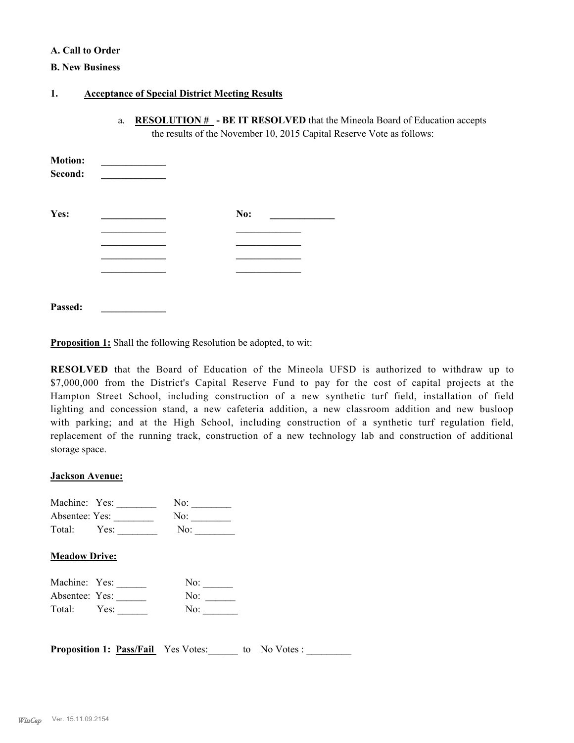### **A. Call to Order**

### **B. New Business**

### **1. Acceptance of Special District Meeting Results**

a. **RESOLUTION # - BE IT RESOLVED** that the Mineola Board of Education accepts the results of the November 10, 2015 Capital Reserve Vote as follows:

| <b>Motion:</b><br>Second: |  |     |  |
|---------------------------|--|-----|--|
| Yes:                      |  | No: |  |
|                           |  |     |  |
|                           |  |     |  |
|                           |  |     |  |
|                           |  |     |  |
|                           |  |     |  |
|                           |  |     |  |

**Proposition 1:** Shall the following Resolution be adopted, to wit:

**RESOLVED** that the Board of Education of the Mineola UFSD is authorized to withdraw up to \$7,000,000 from the District's Capital Reserve Fund to pay for the cost of capital projects at the Hampton Street School, including construction of a new synthetic turf field, installation of field lighting and concession stand, a new cafeteria addition, a new classroom addition and new busloop with parking; and at the High School, including construction of a synthetic turf regulation field, replacement of the running track, construction of a new technology lab and construction of additional storage space.

### **Jackson Avenue:**

**Passed: \_\_\_\_\_\_\_\_\_\_\_\_\_**

| Machine: Yes:  |      | No:             |  |
|----------------|------|-----------------|--|
| Absentee: Yes: |      | No:             |  |
| Total:         | Yes: | No <sup>.</sup> |  |

## **Meadow Drive:**

| Machine: Yes:  |      | No: |
|----------------|------|-----|
| Absentee: Yes: |      | No: |
| Total:         | Yes: | No: |

**Proposition 1: <u>Pass/Fail</u>** Yes Votes: to No Votes :